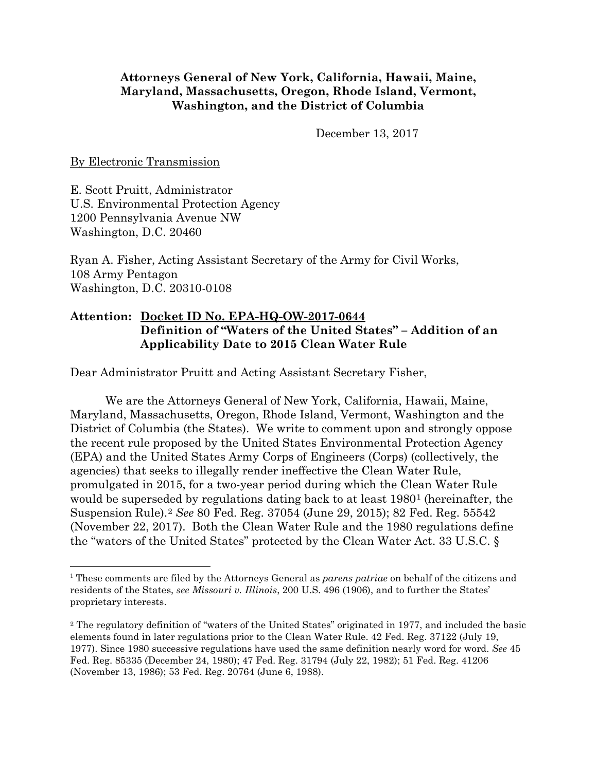## **Attorneys General of New York, California, Hawaii, Maine, Maryland, Massachusetts, Oregon, Rhode Island, Vermont, Washington, and the District of Columbia**

December 13, 2017

By Electronic Transmission

E. Scott Pruitt, Administrator U.S. Environmental Protection Agency 1200 Pennsylvania Avenue NW Washington, D.C. 20460

Ryan A. Fisher, Acting Assistant Secretary of the Army for Civil Works, 108 Army Pentagon Washington, D.C. 20310-0108

# **Attention: Docket ID No. EPA-HQ-OW-2017-0644 Definition of "Waters of the United States" – Addition of an Applicability Date to 2015 Clean Water Rule**

Dear Administrator Pruitt and Acting Assistant Secretary Fisher,

We are the Attorneys General of New York, California, Hawaii, Maine, Maryland, Massachusetts, Oregon, Rhode Island, Vermont, Washington and the District of Columbia (the States). We write to comment upon and strongly oppose the recent rule proposed by the United States Environmental Protection Agency (EPA) and the United States Army Corps of Engineers (Corps) (collectively, the agencies) that seeks to illegally render ineffective the Clean Water Rule, promulgated in 2015, for a two-year period during which the Clean Water Rule would be superseded by regulations dating back to at least [1](#page-0-0)980<sup>1</sup> (hereinafter, the Suspension Rule).[2](#page-0-1) *See* 80 Fed. Reg. 37054 (June 29, 2015); 82 Fed. Reg. 55542 (November 22, 2017). Both the Clean Water Rule and the 1980 regulations define the "waters of the United States" protected by the Clean Water Act. 33 U.S.C. §

<span id="page-0-0"></span> <sup>1</sup> These comments are filed by the Attorneys General as *parens patriae* on behalf of the citizens and residents of the States, *see [Missouri](https://1.next.westlaw.com/Link/Document/FullText?findType=Y&serNum=1906100358&pubNum=708&originatingDoc=Id4bd71379c1d11d991d0cc6b54f12d4d&refType=RP&originationContext=document&transitionType=DocumentItem&contextData=(sc.UserEnteredCitation)) v. Illinois*, 200 U.S. 496 (1906), and to further the States' proprietary interests.

<span id="page-0-1"></span><sup>2</sup> The regulatory definition of "waters of the United States" originated in 1977, and included the basic elements found in later regulations prior to the Clean Water Rule. 42 Fed. Reg. 37122 (July 19, 1977). Since 1980 successive regulations have used the same definition nearly word for word. *See* 45 Fed. Reg. 85335 (December 24, 1980); 47 Fed. Reg. 31794 (July 22, 1982); 51 Fed. Reg. 41206 (November 13, 1986); 53 Fed. Reg. 20764 (June 6, 1988).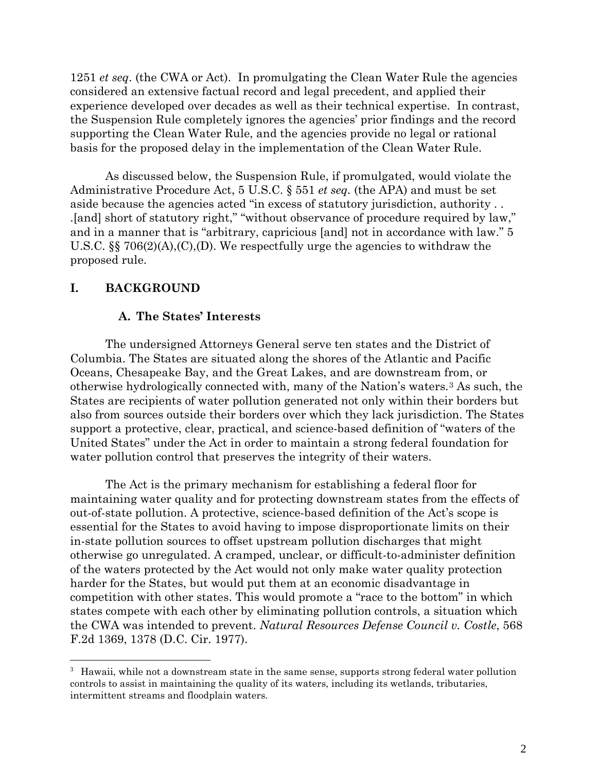1251 *et seq*. (the CWA or Act). In promulgating the Clean Water Rule the agencies considered an extensive factual record and legal precedent, and applied their experience developed over decades as well as their technical expertise. In contrast, the Suspension Rule completely ignores the agencies' prior findings and the record supporting the Clean Water Rule, and the agencies provide no legal or rational basis for the proposed delay in the implementation of the Clean Water Rule.

As discussed below, the Suspension Rule, if promulgated, would violate the Administrative Procedure Act, 5 U.S.C. § 551 *et seq.* (the APA) and must be set aside because the agencies acted "in excess of statutory jurisdiction, authority . . .[and] short of statutory right," "without observance of procedure required by law," and in a manner that is "arbitrary, capricious [and] not in accordance with law." 5 U.S.C. §§ 706(2)(A),(C),(D). We respectfully urge the agencies to withdraw the proposed rule.

# **I. BACKGROUND**

### **A. The States' Interests**

The undersigned Attorneys General serve ten states and the District of Columbia. The States are situated along the shores of the Atlantic and Pacific Oceans, Chesapeake Bay, and the Great Lakes, and are downstream from, or otherwise hydrologically connected with, many of the Nation's waters.[3](#page-1-0) As such, the States are recipients of water pollution generated not only within their borders but also from sources outside their borders over which they lack jurisdiction. The States support a protective, clear, practical, and science-based definition of "waters of the United States" under the Act in order to maintain a strong federal foundation for water pollution control that preserves the integrity of their waters.

The Act is the primary mechanism for establishing a federal floor for maintaining water quality and for protecting downstream states from the effects of out-of-state pollution. A protective, science-based definition of the Act's scope is essential for the States to avoid having to impose disproportionate limits on their in-state pollution sources to offset upstream pollution discharges that might otherwise go unregulated. A cramped, unclear, or difficult-to-administer definition of the waters protected by the Act would not only make water quality protection harder for the States, but would put them at an economic disadvantage in competition with other states. This would promote a "race to the bottom" in which states compete with each other by eliminating pollution controls, a situation which the CWA was intended to prevent. *Natural Resources Defense Council v. Costle*, 568 F.2d 1369, 1378 (D.C. Cir. 1977).

<span id="page-1-0"></span><sup>&</sup>lt;sup>-</sup><br>3  $3$  Hawaii, while not a downstream state in the same sense, supports strong federal water pollution controls to assist in maintaining the quality of its waters, including its wetlands, tributaries, intermittent streams and floodplain waters.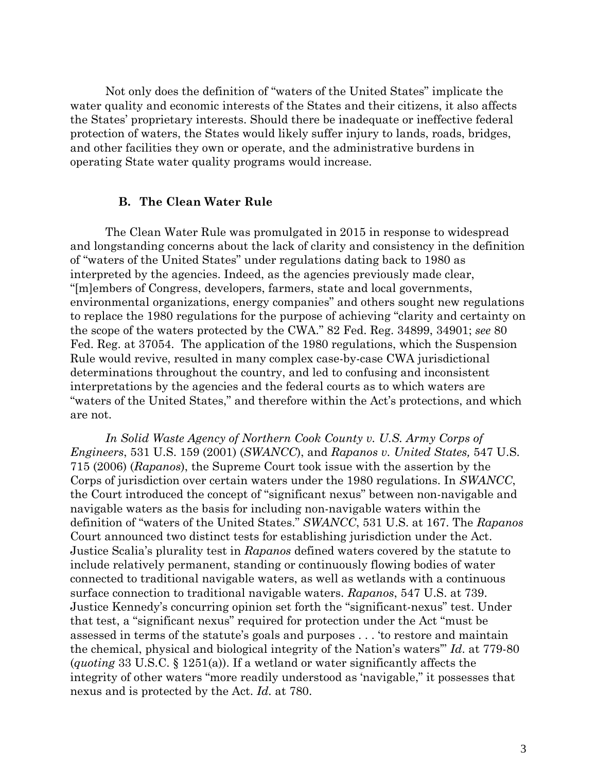Not only does the definition of "waters of the United States" implicate the water quality and economic interests of the States and their citizens, it also affects the States' proprietary interests. Should there be inadequate or ineffective federal protection of waters, the States would likely suffer injury to lands, roads, bridges, and other facilities they own or operate, and the administrative burdens in operating State water quality programs would increase.

#### **B. The Clean Water Rule**

The Clean Water Rule was promulgated in 2015 in response to widespread and longstanding concerns about the lack of clarity and consistency in the definition of "waters of the United States" under regulations dating back to 1980 as interpreted by the agencies. Indeed, as the agencies previously made clear, "[m]embers of Congress, developers, farmers, state and local governments, environmental organizations, energy companies" and others sought new regulations to replace the 1980 regulations for the purpose of achieving "clarity and certainty on the scope of the waters protected by the CWA." 82 Fed. Reg. 34899, 34901; *see* 80 Fed. Reg. at 37054. The application of the 1980 regulations, which the Suspension Rule would revive, resulted in many complex case-by-case CWA jurisdictional determinations throughout the country, and led to confusing and inconsistent interpretations by the agencies and the federal courts as to which waters are "waters of the United States," and therefore within the Act's protections, and which are not.

*In Solid Waste Agency of Northern Cook County v. U.S. Army Corps of Engineers*, 531 U.S. 159 (2001) (*SWANCC*), and *Rapanos v. United States,* 547 U.S. 715 (2006) (*Rapanos*), the Supreme Court took issue with the assertion by the Corps of jurisdiction over certain waters under the 1980 regulations. In *SWANCC*, the Court introduced the concept of "significant nexus" between non-navigable and navigable waters as the basis for including non-navigable waters within the definition of "waters of the United States." *SWANCC*, 531 U.S. at 167. The *Rapanos* Court announced two distinct tests for establishing jurisdiction under the Act. Justice Scalia's plurality test in *Rapanos* defined waters covered by the statute to include relatively permanent, standing or continuously flowing bodies of water connected to traditional navigable waters, as well as wetlands with a continuous surface connection to traditional navigable waters. *Rapanos*, 547 U.S. at 739. Justice Kennedy's concurring opinion set forth the "significant-nexus" test. Under that test, a "significant nexus" required for protection under the Act "must be assessed in terms of the statute's goals and purposes . . . 'to restore and maintain the chemical, physical and biological integrity of the Nation's waters'" *Id*. at 779-80 (*quoting* 33 U.S.C. § 1251(a)). If a wetland or water significantly affects the integrity of other waters "more readily understood as 'navigable," it possesses that nexus and is protected by the Act. *Id.* at 780.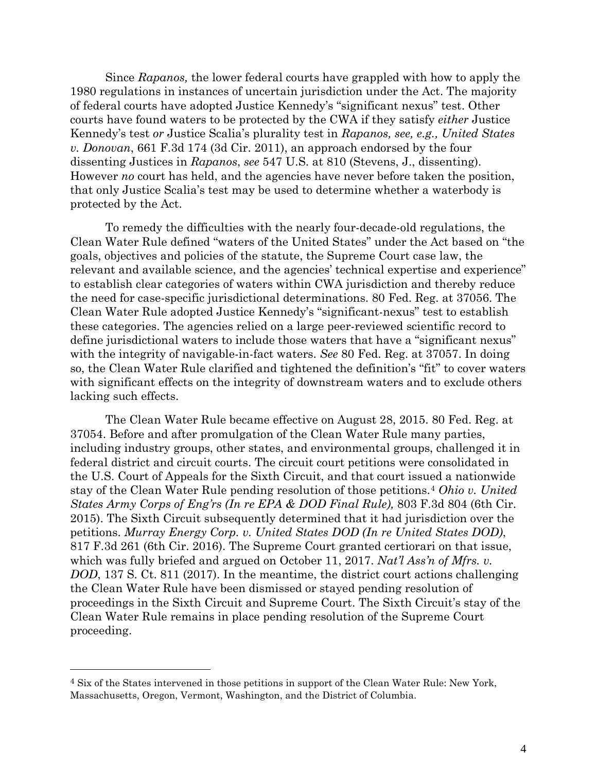Since *Rapanos,* the lower federal courts have grappled with how to apply the 1980 regulations in instances of uncertain jurisdiction under the Act. The majority of federal courts have adopted Justice Kennedy's "significant nexus" test. Other courts have found waters to be protected by the CWA if they satisfy *either* Justice Kennedy's test *or* Justice Scalia's plurality test in *Rapanos, see, e.g., United States v. Donovan*, 661 F.3d 174 (3d Cir. 2011), an approach endorsed by the four dissenting Justices in *Rapanos*, *see* 547 U.S. at 810 (Stevens, J., dissenting). However *no* court has held, and the agencies have never before taken the position, that only Justice Scalia's test may be used to determine whether a waterbody is protected by the Act.

To remedy the difficulties with the nearly four-decade-old regulations, the Clean Water Rule defined "waters of the United States" under the Act based on "the goals, objectives and policies of the statute, the Supreme Court case law, the relevant and available science, and the agencies' technical expertise and experience" to establish clear categories of waters within CWA jurisdiction and thereby reduce the need for case-specific jurisdictional determinations. 80 Fed. Reg. at 37056. The Clean Water Rule adopted Justice Kennedy's "significant-nexus" test to establish these categories. The agencies relied on a large peer-reviewed scientific record to define jurisdictional waters to include those waters that have a "significant nexus" with the integrity of navigable-in-fact waters. *See* 80 Fed. Reg. at 37057. In doing so, the Clean Water Rule clarified and tightened the definition's "fit" to cover waters with significant effects on the integrity of downstream waters and to exclude others lacking such effects.

The Clean Water Rule became effective on August 28, 2015. 80 Fed. Reg. at 37054. Before and after promulgation of the Clean Water Rule many parties, including industry groups, other states, and environmental groups, challenged it in federal district and circuit courts. The circuit court petitions were consolidated in the U.S. Court of Appeals for the Sixth Circuit, and that court issued a nationwide stay of the Clean Water Rule pending resolution of those petitions.[4](#page-3-0) *Ohio v. United States Army Corps of Eng'rs (In re EPA & DOD Final Rule),* 803 F.3d 804 (6th Cir. 2015). The Sixth Circuit subsequently determined that it had jurisdiction over the petitions. *Murray Energy Corp. v. United States DOD (In re United States DOD)*, 817 F.3d 261 (6th Cir. 2016). The Supreme Court granted certiorari on that issue, which was fully briefed and argued on October 11, 2017. *Nat'l Ass'n of Mfrs. v. DOD*, 137 S. Ct. 811 (2017). In the meantime, the district court actions challenging the Clean Water Rule have been dismissed or stayed pending resolution of proceedings in the Sixth Circuit and Supreme Court. The Sixth Circuit's stay of the Clean Water Rule remains in place pending resolution of the Supreme Court proceeding.

 $\overline{a}$ 

<span id="page-3-0"></span><sup>4</sup> Six of the States intervened in those petitions in support of the Clean Water Rule: New York, Massachusetts, Oregon, Vermont, Washington, and the District of Columbia.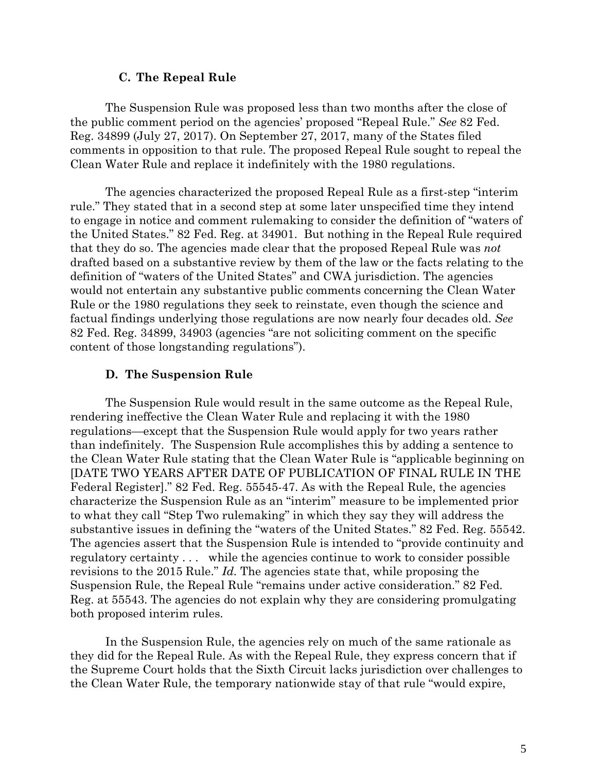#### **C. The Repeal Rule**

The Suspension Rule was proposed less than two months after the close of the public comment period on the agencies' proposed "Repeal Rule." *See* 82 Fed. Reg. 34899 (July 27, 2017). On September 27, 2017, many of the States filed comments in opposition to that rule. The proposed Repeal Rule sought to repeal the Clean Water Rule and replace it indefinitely with the 1980 regulations.

The agencies characterized the proposed Repeal Rule as a first-step "interim rule." They stated that in a second step at some later unspecified time they intend to engage in notice and comment rulemaking to consider the definition of "waters of the United States." 82 Fed. Reg. at 34901. But nothing in the Repeal Rule required that they do so. The agencies made clear that the proposed Repeal Rule was *not* drafted based on a substantive review by them of the law or the facts relating to the definition of "waters of the United States" and CWA jurisdiction. The agencies would not entertain any substantive public comments concerning the Clean Water Rule or the 1980 regulations they seek to reinstate, even though the science and factual findings underlying those regulations are now nearly four decades old. *See* 82 Fed. Reg. 34899, 34903 (agencies "are not soliciting comment on the specific content of those longstanding regulations").

#### **D. The Suspension Rule**

The Suspension Rule would result in the same outcome as the Repeal Rule, rendering ineffective the Clean Water Rule and replacing it with the 1980 regulations—except that the Suspension Rule would apply for two years rather than indefinitely. The Suspension Rule accomplishes this by adding a sentence to the Clean Water Rule stating that the Clean Water Rule is "applicable beginning on [DATE TWO YEARS AFTER DATE OF PUBLICATION OF FINAL RULE IN THE Federal Register]." 82 Fed. Reg. 55545-47. As with the Repeal Rule, the agencies characterize the Suspension Rule as an "interim" measure to be implemented prior to what they call "Step Two rulemaking" in which they say they will address the substantive issues in defining the "waters of the United States." 82 Fed. Reg. 55542. The agencies assert that the Suspension Rule is intended to "provide continuity and regulatory certainty . . . while the agencies continue to work to consider possible revisions to the 2015 Rule." *Id.* The agencies state that, while proposing the Suspension Rule, the Repeal Rule "remains under active consideration." 82 Fed. Reg. at 55543. The agencies do not explain why they are considering promulgating both proposed interim rules.

In the Suspension Rule, the agencies rely on much of the same rationale as they did for the Repeal Rule. As with the Repeal Rule, they express concern that if the Supreme Court holds that the Sixth Circuit lacks jurisdiction over challenges to the Clean Water Rule, the temporary nationwide stay of that rule "would expire,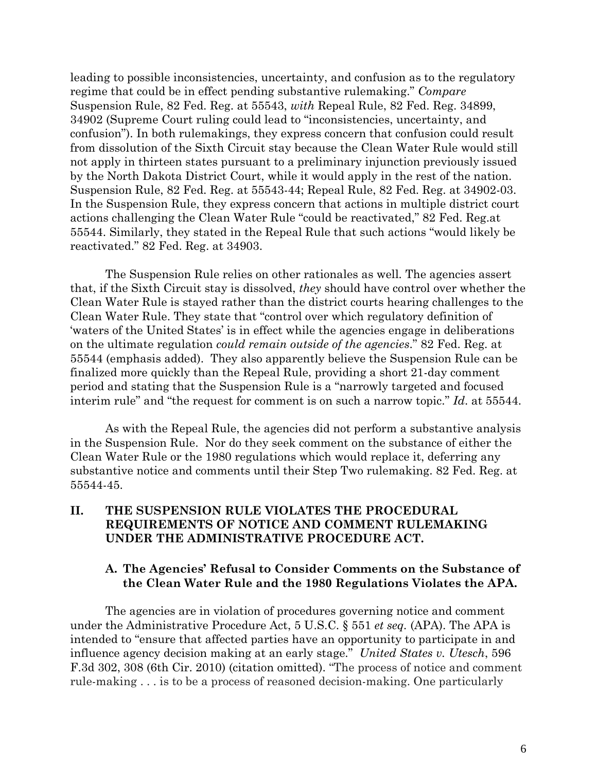leading to possible inconsistencies, uncertainty, and confusion as to the regulatory regime that could be in effect pending substantive rulemaking." *Compare* Suspension Rule, 82 Fed. Reg. at 55543, *with* Repeal Rule, 82 Fed. Reg. 34899, 34902 (Supreme Court ruling could lead to "inconsistencies, uncertainty, and confusion"). In both rulemakings, they express concern that confusion could result from dissolution of the Sixth Circuit stay because the Clean Water Rule would still not apply in thirteen states pursuant to a preliminary injunction previously issued by the North Dakota District Court, while it would apply in the rest of the nation. Suspension Rule, 82 Fed. Reg. at 55543-44; Repeal Rule, 82 Fed. Reg. at 34902-03. In the Suspension Rule, they express concern that actions in multiple district court actions challenging the Clean Water Rule "could be reactivated," 82 Fed. Reg.at 55544. Similarly, they stated in the Repeal Rule that such actions "would likely be reactivated." 82 Fed. Reg. at 34903.

The Suspension Rule relies on other rationales as well*.* The agencies assert that, if the Sixth Circuit stay is dissolved, *they* should have control over whether the Clean Water Rule is stayed rather than the district courts hearing challenges to the Clean Water Rule. They state that "control over which regulatory definition of 'waters of the United States' is in effect while the agencies engage in deliberations on the ultimate regulation *could remain outside of the agencies*." 82 Fed. Reg. at 55544 (emphasis added). They also apparently believe the Suspension Rule can be finalized more quickly than the Repeal Rule, providing a short 21-day comment period and stating that the Suspension Rule is a "narrowly targeted and focused interim rule" and "the request for comment is on such a narrow topic." *Id*. at 55544.

As with the Repeal Rule, the agencies did not perform a substantive analysis in the Suspension Rule. Nor do they seek comment on the substance of either the Clean Water Rule or the 1980 regulations which would replace it, deferring any substantive notice and comments until their Step Two rulemaking. 82 Fed. Reg. at 55544-45.

## **II. THE SUSPENSION RULE VIOLATES THE PROCEDURAL REQUIREMENTS OF NOTICE AND COMMENT RULEMAKING UNDER THE ADMINISTRATIVE PROCEDURE ACT.**

## **A. The Agencies' Refusal to Consider Comments on the Substance of the Clean Water Rule and the 1980 Regulations Violates the APA.**

The agencies are in violation of procedures governing notice and comment under the Administrative Procedure Act, 5 U.S.C. § 551 *et seq.* (APA). The APA is intended to "ensure that affected parties have an opportunity to participate in and influence agency decision making at an early stage." *United States v. Utesch*, 596 F.3d 302, 308 (6th Cir. 2010) (citation omitted). "The process of notice and comment rule-making . . . is to be a process of reasoned decision-making. One particularly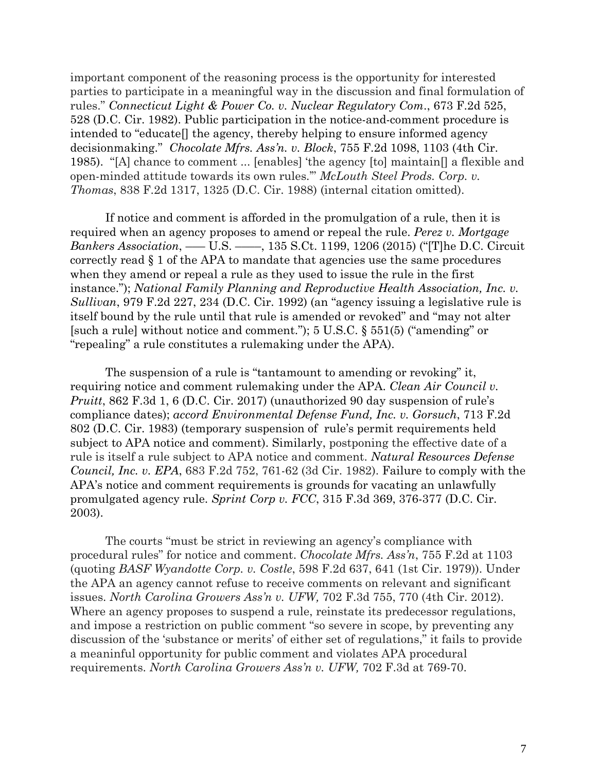important component of the reasoning process is the opportunity for interested parties to participate in a meaningful way in the discussion and final formulation of rules." *Connecticut Light & Power Co. v. Nuclear Regulatory Com*., 673 F.2d 525, 528 (D.C. Cir. 1982). Public participation in the notice-and-comment procedure is intended to "educate[] the agency, thereby helping to ensure informed agency decisionmaking." *Chocolate Mfrs. Ass'n. v. Block*, 755 F.2d 1098, 1103 (4th Cir. 1985). "[A] chance to comment ... [enables] 'the agency [to] maintain[] a flexible and open-minded attitude towards its own rules.'" *McLouth Steel Prods. Corp. v. Thomas*, 838 F.2d 1317, 1325 (D.C. Cir. 1988) (internal citation omitted).

If notice and comment is afforded in the promulgation of a rule, then it is required when an agency proposes to amend or repeal the rule. *Perez v. [Mortgage](http://www.westlaw.com/Link/Document/FullText?findType=Y&serNum=2035579934&pubNum=0000708&originatingDoc=Idcbb22e0603e11e79657885de1b1150a&refType=RP&fi=co_pp_sp_708_1206&originationContext=document&vr=3.0&rs=cblt1.0&transitionType=DocumentItem&contextData=(sc.Default)#co_pp_sp_708_1206) Bankers [Association](http://www.westlaw.com/Link/Document/FullText?findType=Y&serNum=2035579934&pubNum=0000708&originatingDoc=Idcbb22e0603e11e79657885de1b1150a&refType=RP&fi=co_pp_sp_708_1206&originationContext=document&vr=3.0&rs=cblt1.0&transitionType=DocumentItem&contextData=(sc.Default)#co_pp_sp_708_1206)*, ––– U.S. ––––, 135 S.Ct. 1199, 1206 (2015) ("[T]he D.C. Circuit correctly read § 1 of the APA to mandate that agencies use the same procedures when they amend or repeal a rule as they used to issue the rule in the first instance."); *National Family Planning and [Reproductive](http://www.westlaw.com/Link/Document/FullText?findType=Y&serNum=1992184463&pubNum=0000350&originatingDoc=Idcbb22e0603e11e79657885de1b1150a&refType=RP&fi=co_pp_sp_350_234&originationContext=document&vr=3.0&rs=cblt1.0&transitionType=DocumentItem&contextData=(sc.Default)#co_pp_sp_350_234) Health Association, Inc. v. [Sullivan](http://www.westlaw.com/Link/Document/FullText?findType=Y&serNum=1992184463&pubNum=0000350&originatingDoc=Idcbb22e0603e11e79657885de1b1150a&refType=RP&fi=co_pp_sp_350_234&originationContext=document&vr=3.0&rs=cblt1.0&transitionType=DocumentItem&contextData=(sc.Default)#co_pp_sp_350_234)*, 979 F.2d 227, 234 (D.C. Cir. 1992) (an "agency issuing a legislative rule is itself bound by the rule until that rule is amended or revoked" and "may not alter [such a rule] without notice and comment."); 5 U.S.C. § 551(5) ("amending" or "repealing" a rule constitutes a rulemaking under the APA).

The suspension of a rule is "tantamount to amending or revoking" it, requiring notice and comment rulemaking under the APA. *Clean Air Council v. Pruitt*, 862 F.3d 1, 6 (D.C. Cir. 2017) (unauthorized 90 day suspension of rule's compliance dates); *accord Environmental Defense Fund, Inc. v. Gorsuch*, 713 F.2d 802 (D.C. Cir. 1983) (temporary suspension of rule's permit requirements held subject to APA notice and comment). Similarly, postponing the effective date of a rule is itself a rule subject to APA notice and comment. *Natural [Resources](https://1.next.westlaw.com/Document/Id7a9bb7b92f811d9bc61beebb95be672/View/FullText.html?originationContext=docHeader&contextData=(sc.UserEnteredCitation)&transitionType=Document&needToInjectTerms=False&userEnteredCitation=683+f2d+761&docSource=07e191ca945c4f9d9b352fcd340a1716) Defense [Council,](https://1.next.westlaw.com/Document/Id7a9bb7b92f811d9bc61beebb95be672/View/FullText.html?originationContext=docHeader&contextData=(sc.UserEnteredCitation)&transitionType=Document&needToInjectTerms=False&userEnteredCitation=683+f2d+761&docSource=07e191ca945c4f9d9b352fcd340a1716) Inc. v. EPA*, 683 F.2d 752, 761-62 (3d Cir. 1982). Failure to comply with the APA's notice and comment requirements is grounds for vacating an unlawfully promulgated agency rule. *Sprint Corp v. FCC*, 315 F.3d 369, 376-377 (D.C. Cir. 2003).

The courts "must be strict in reviewing an agency's compliance with procedural rules" for notice and comment. *Chocolate Mfrs. Ass'n*, 755 F.2d at 1103 (quoting *BASF Wyandotte Corp. v. Costle*, 598 F.2d 637, 641 (1st Cir. 1979)). Under the APA an agency cannot refuse to receive comments on relevant and significant issues. *North Carolina Growers Ass'n v. UFW,* 702 F.3d 755, 770 (4th Cir. 2012). Where an agency proposes to suspend a rule, reinstate its predecessor regulations, and impose a restriction on public comment "so severe in scope, by preventing any discussion of the 'substance or merits' of either set of regulations," it fails to provide a meaninful opportunity for public comment and violates APA procedural requirements. *North Carolina Growers Ass'n v. UFW,* 702 F.3d at 769-70.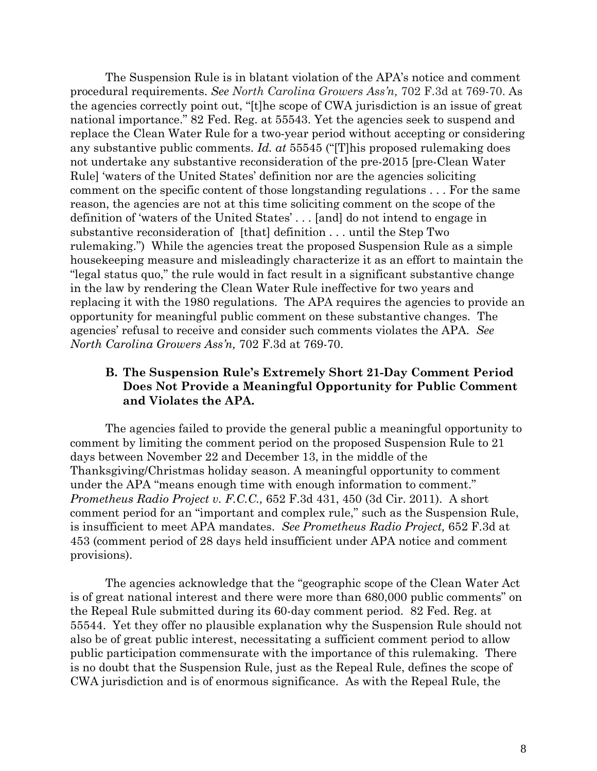The Suspension Rule is in blatant violation of the APA's notice and comment procedural requirements. *See North Carolina Growers Ass'n,* 702 F.3d at 769-70. As the agencies correctly point out, "[t]he scope of CWA jurisdiction is an issue of great national importance." 82 Fed. Reg. at 55543. Yet the agencies seek to suspend and replace the Clean Water Rule for a two-year period without accepting or considering any substantive public comments. *Id. at* 55545 ("[T]his proposed rulemaking does not undertake any substantive reconsideration of the pre-2015 [pre-Clean Water Rule] 'waters of the United States' definition nor are the agencies soliciting comment on the specific content of those longstanding regulations . . . For the same reason, the agencies are not at this time soliciting comment on the scope of the definition of 'waters of the United States' . . . [and] do not intend to engage in substantive reconsideration of [that] definition . . . until the Step Two rulemaking.") While the agencies treat the proposed Suspension Rule as a simple housekeeping measure and misleadingly characterize it as an effort to maintain the "legal status quo," the rule would in fact result in a significant substantive change in the law by rendering the Clean Water Rule ineffective for two years and replacing it with the 1980 regulations. The APA requires the agencies to provide an opportunity for meaningful public comment on these substantive changes. The agencies' refusal to receive and consider such comments violates the APA. *See North Carolina Growers Ass'n,* 702 F.3d at 769-70.

# **B. The Suspension Rule's Extremely Short 21-Day Comment Period Does Not Provide a Meaningful Opportunity for Public Comment and Violates the APA.**

The agencies failed to provide the general public a meaningful opportunity to comment by limiting the comment period on the proposed Suspension Rule to 21 days between November 22 and December 13, in the middle of the Thanksgiving/Christmas holiday season. A meaningful opportunity to comment under the APA "means enough time with enough information to comment." *Prometheus Radio Project v. F.C.C.,* 652 F.3d 431, 450 (3d Cir. 2011). A short comment period for an "important and complex rule," such as the Suspension Rule, is insufficient to meet APA mandates. *See Prometheus Radio Project,* 652 F.3d at 453 (comment period of 28 days held insufficient under APA notice and comment provisions).

The agencies acknowledge that the "geographic scope of the Clean Water Act is of great national interest and there were more than 680,000 public comments" on the Repeal Rule submitted during its 60-day comment period. 82 Fed. Reg. at 55544. Yet they offer no plausible explanation why the Suspension Rule should not also be of great public interest, necessitating a sufficient comment period to allow public participation commensurate with the importance of this rulemaking. There is no doubt that the Suspension Rule, just as the Repeal Rule, defines the scope of CWA jurisdiction and is of enormous significance. As with the Repeal Rule, the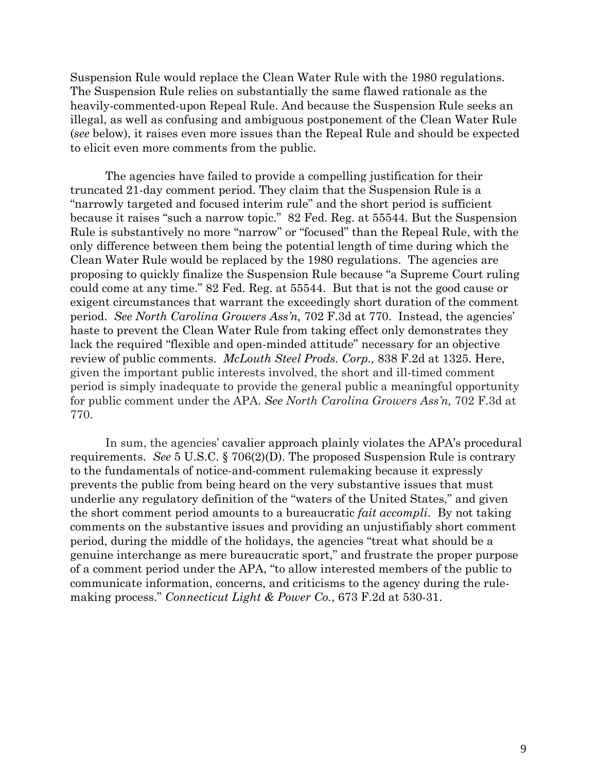Suspension Rule would replace the Clean Water Rule with the 1980 regulations. The Suspension Rule relies on substantially the same flawed rationale as the heavily-commented-upon Repeal Rule. And because the Suspension Rule seeks an illegal, as well as confusing and ambiguous postponement of the Clean Water Rule (*see* below), it raises even more issues than the Repeal Rule and should be expected to elicit even more comments from the public.

The agencies have failed to provide a compelling justification for their truncated 21-day comment period. They claim that the Suspension Rule is a "narrowly targeted and focused interim rule" and the short period is sufficient because it raises "such a narrow topic." 82 Fed. Reg. at 55544. But the Suspension Rule is substantively no more "narrow" or "focused" than the Repeal Rule, with the only difference between them being the potential length of time during which the Clean Water Rule would be replaced by the 1980 regulations. The agencies are proposing to quickly finalize the Suspension Rule because "a Supreme Court ruling could come at any time." 82 Fed. Reg. at 55544. But that is not the good cause or exigent circumstances that warrant the exceedingly short duration of the comment period. *See North Carolina Growers Ass'n,* 702 F.3d at 770. Instead, the agencies' haste to prevent the Clean Water Rule from taking effect only demonstrates they lack the required "flexible and open-minded attitude" necessary for an objective review of public comments. *McLouth Steel Prods. Corp.,* 838 F.2d at 1325. Here, given the important public interests involved, the short and ill-timed comment period is simply inadequate to provide the general public a meaningful opportunity for public comment under the APA. *See North Carolina Growers Ass'n,* 702 F.3d at 770.

In sum, the agencies' cavalier approach plainly violates the APA's procedural requirements. *See* 5 U.S.C. § 706(2)(D). The proposed Suspension Rule is contrary to the fundamentals of notice-and-comment rulemaking because it expressly prevents the public from being heard on the very substantive issues that must underlie any regulatory definition of the "waters of the United States," and given the short comment period amounts to a bureaucratic *fait accompli*. By not taking comments on the substantive issues and providing an unjustifiably short comment period, during the middle of the holidays, the agencies "treat what should be a genuine interchange as mere bureaucratic sport," and frustrate the proper purpose of a comment period under the APA, "to allow interested members of the public to communicate information, concerns, and criticisms to the agency during the rulemaking process." *Connecticut Light & Power Co.*, 673 F.2d at 530-31.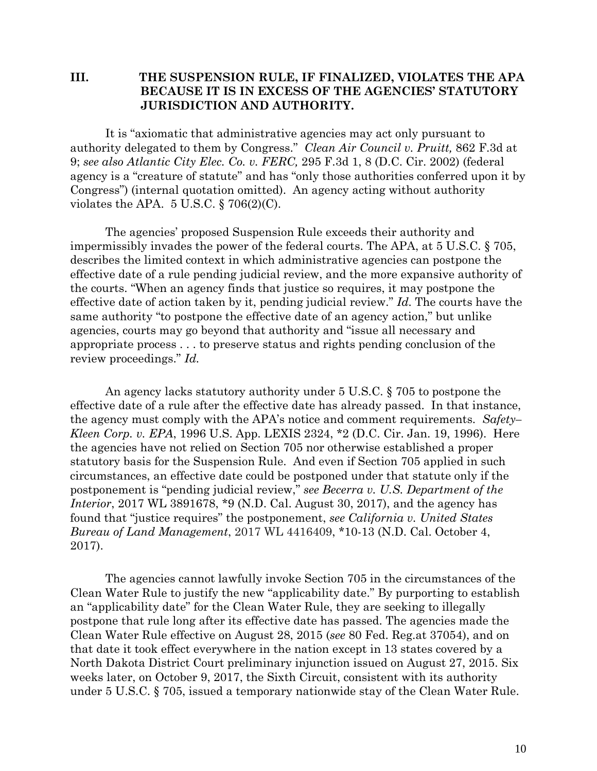### **III. THE SUSPENSION RULE, IF FINALIZED, VIOLATES THE APA BECAUSE IT IS IN EXCESS OF THE AGENCIES' STATUTORY JURISDICTION AND AUTHORITY.**

It is "axiomatic that administrative agencies may act only pursuant to authority delegated to them by Congress." *Clean Air Council v. Pruitt,* 862 F.3d at 9; *see also Atlantic City Elec. Co. v. FERC,* 295 F.3d 1, 8 (D.C. Cir. 2002) (federal agency is a "creature of statute" and has "only those authorities conferred upon it by Congress") (internal quotation omitted). An agency acting without authority violates the APA.  $5 \text{ U.S.C.}$  § 706(2)(C).

The agencies' proposed Suspension Rule exceeds their authority and impermissibly invades the power of the federal courts. The APA, at 5 U.S.C. § 705, describes the limited context in which administrative agencies can postpone the effective date of a rule pending judicial review, and the more expansive authority of the courts. "When an agency finds that justice so requires, it may postpone the effective date of action taken by it, pending judicial review." *Id.* The courts have the same authority "to postpone the effective date of an agency action," but unlike agencies, courts may go beyond that authority and "issue all necessary and appropriate process . . . to preserve status and rights pending conclusion of the review proceedings." *Id.*

An agency lacks statutory authority under 5 U.S.C. § 705 to postpone the effective date of a rule after the effective date has already passed. In that instance, the agency must comply with the APA's notice and comment requirements. *Safety– Kleen Corp. v. EPA*, 1996 U.S. App. LEXIS 2324, \*2 (D.C. Cir. Jan. 19, 1996). Here the agencies have not relied on Section 705 nor otherwise established a proper statutory basis for the Suspension Rule. And even if Section 705 applied in such circumstances, an effective date could be postponed under that statute only if the postponement is "pending judicial review," *see Becerra v. U.S. Department of the Interior*, 2017 WL 3891678, \*9 (N.D. Cal. August 30, 2017), and the agency has found that "justice requires" the postponement, *see California v. United States Bureau of Land Management*, 2017 WL 4416409, \*10-13 (N.D. Cal. October 4, 2017).

The agencies cannot lawfully invoke Section 705 in the circumstances of the Clean Water Rule to justify the new "applicability date." By purporting to establish an "applicability date" for the Clean Water Rule, they are seeking to illegally postpone that rule long after its effective date has passed. The agencies made the Clean Water Rule effective on August 28, 2015 (*see* 80 Fed. Reg.at 37054), and on that date it took effect everywhere in the nation except in 13 states covered by a North Dakota District Court preliminary injunction issued on August 27, 2015. Six weeks later, on October 9, 2017, the Sixth Circuit, consistent with its authority under 5 U.S.C. § 705, issued a temporary nationwide stay of the Clean Water Rule.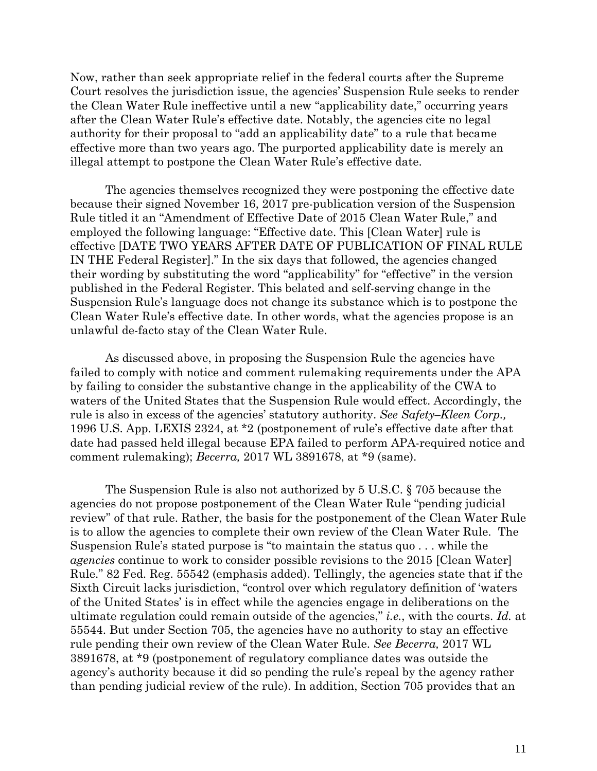Now, rather than seek appropriate relief in the federal courts after the Supreme Court resolves the jurisdiction issue, the agencies' Suspension Rule seeks to render the Clean Water Rule ineffective until a new "applicability date," occurring years after the Clean Water Rule's effective date. Notably, the agencies cite no legal authority for their proposal to "add an applicability date" to a rule that became effective more than two years ago. The purported applicability date is merely an illegal attempt to postpone the Clean Water Rule's effective date.

The agencies themselves recognized they were postponing the effective date because their signed November 16, 2017 pre-publication version of the Suspension Rule titled it an "Amendment of Effective Date of 2015 Clean Water Rule," and employed the following language: "Effective date. This [Clean Water] rule is effective [DATE TWO YEARS AFTER DATE OF PUBLICATION OF FINAL RULE IN THE Federal Register]." In the six days that followed, the agencies changed their wording by substituting the word "applicability" for "effective" in the version published in the Federal Register. This belated and self-serving change in the Suspension Rule's language does not change its substance which is to postpone the Clean Water Rule's effective date. In other words, what the agencies propose is an unlawful de-facto stay of the Clean Water Rule.

As discussed above, in proposing the Suspension Rule the agencies have failed to comply with notice and comment rulemaking requirements under the APA by failing to consider the substantive change in the applicability of the CWA to waters of the United States that the Suspension Rule would effect. Accordingly, the rule is also in excess of the agencies' statutory authority. *See Safety–Kleen Corp.,* 1996 U.S. App. LEXIS 2324, at \*2 (postponement of rule's effective date after that date had passed held illegal because EPA failed to perform APA-required notice and comment rulemaking); *Becerra,* 2017 WL 3891678, at \*9 (same).

The Suspension Rule is also not authorized by 5 U.S.C. § 705 because the agencies do not propose postponement of the Clean Water Rule "pending judicial review" of that rule. Rather, the basis for the postponement of the Clean Water Rule is to allow the agencies to complete their own review of the Clean Water Rule. The Suspension Rule's stated purpose is "to maintain the status quo . . . while the *agencies* continue to work to consider possible revisions to the 2015 [Clean Water] Rule." 82 Fed. Reg. 55542 (emphasis added). Tellingly, the agencies state that if the Sixth Circuit lacks jurisdiction, "control over which regulatory definition of 'waters of the United States' is in effect while the agencies engage in deliberations on the ultimate regulation could remain outside of the agencies," *i.e.*, with the courts. *Id.* at 55544. But under Section 705, the agencies have no authority to stay an effective rule pending their own review of the Clean Water Rule. *See Becerra,* 2017 WL 3891678, at \*9 (postponement of regulatory compliance dates was outside the agency's authority because it did so pending the rule's repeal by the agency rather than pending judicial review of the rule). In addition, Section 705 provides that an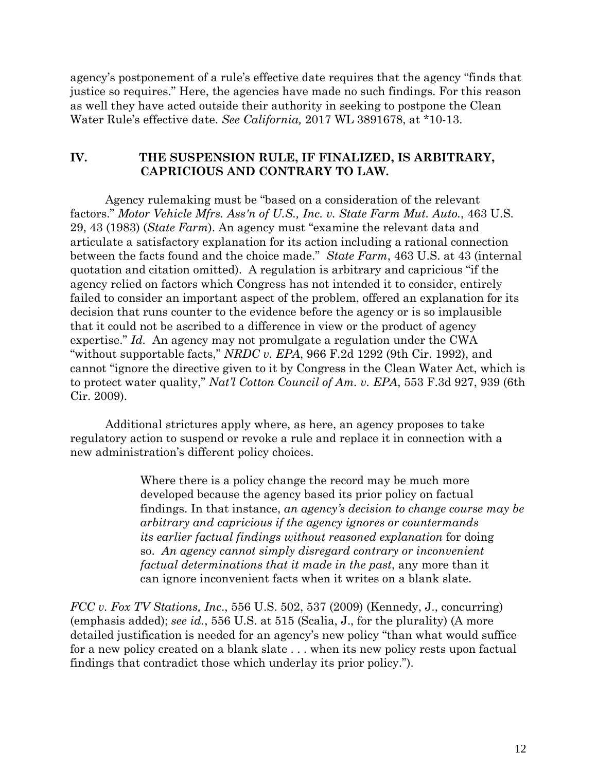agency's postponement of a rule's effective date requires that the agency "finds that justice so requires." Here, the agencies have made no such findings. For this reason as well they have acted outside their authority in seeking to postpone the Clean Water Rule's effective date. *See California,* 2017 WL 3891678, at \*10-13.

### **IV. THE SUSPENSION RULE, IF FINALIZED, IS ARBITRARY, CAPRICIOUS AND CONTRARY TO LAW.**

Agency rulemaking must be "based on a consideration of the relevant factors." *Motor Vehicle Mfrs. Ass'n of U.S., Inc. v. State Farm Mut. Auto.*, 463 U.S. 29, 43 (1983) (*State Farm*). An agency must "examine the relevant data and articulate a satisfactory explanation for its action including a rational connection between the facts found and the choice made." *State Farm*, 463 U.S. at 43 (internal quotation and citation omitted). A regulation is arbitrary and capricious "if the agency relied on factors which Congress has not intended it to consider, entirely failed to consider an important aspect of the problem, offered an explanation for its decision that runs counter to the evidence before the agency or is so implausible that it could not be ascribed to a difference in view or the product of agency expertise." *Id.* An agency may not promulgate a regulation under the CWA "without supportable facts," *NRDC v. EPA*, 966 F.2d 1292 (9th Cir. 1992), and cannot "ignore the directive given to it by Congress in the Clean Water Act, which is to protect water quality," *Nat'l Cotton Council of Am. v. EPA*, 553 F.3d 927, 939 (6th Cir. 2009).

Additional strictures apply where, as here, an agency proposes to take regulatory action to suspend or revoke a rule and replace it in connection with a new administration's different policy choices.

> Where there is a policy change the record may be much more developed because the agency based its prior policy on factual findings. In that instance, *an agency's decision to change course may be arbitrary and capricious if the agency ignores or countermands its earlier factual findings without reasoned explanation* for doing so. *An agency cannot simply disregard contrary or inconvenient factual determinations that it made in the past*, any more than it can ignore inconvenient facts when it writes on a blank slate.

*FCC v. Fox TV Stations, Inc*., 556 U.S. 502, 537 (2009) (Kennedy, J., concurring) (emphasis added); *see id.*, 556 U.S. at 515 (Scalia, J., for the plurality) (A more detailed justification is needed for an agency's new policy "than what would suffice for a new policy created on a blank slate . . . when its new policy rests upon factual findings that contradict those which underlay its prior policy.").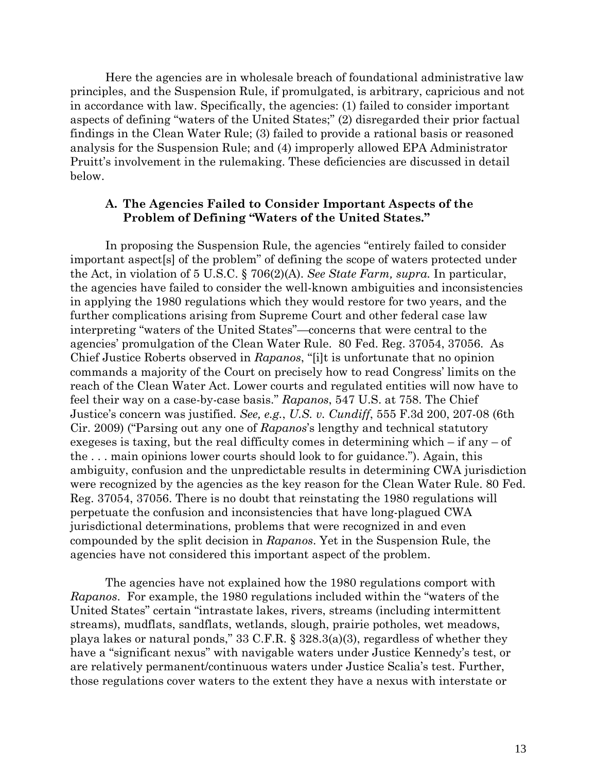Here the agencies are in wholesale breach of foundational administrative law principles, and the Suspension Rule, if promulgated, is arbitrary, capricious and not in accordance with law. Specifically, the agencies: (1) failed to consider important aspects of defining "waters of the United States;" (2) disregarded their prior factual findings in the Clean Water Rule; (3) failed to provide a rational basis or reasoned analysis for the Suspension Rule; and (4) improperly allowed EPA Administrator Pruitt's involvement in the rulemaking. These deficiencies are discussed in detail below.

### **A. The Agencies Failed to Consider Important Aspects of the Problem of Defining "Waters of the United States."**

In proposing the Suspension Rule, the agencies "entirely failed to consider important aspect[s] of the problem" of defining the scope of waters protected under the Act, in violation of 5 U.S.C. § 706(2)(A). *See State Farm, supra.* In particular, the agencies have failed to consider the well-known ambiguities and inconsistencies in applying the 1980 regulations which they would restore for two years, and the further complications arising from Supreme Court and other federal case law interpreting "waters of the United States"—concerns that were central to the agencies' promulgation of the Clean Water Rule. 80 Fed. Reg. 37054, 37056. As Chief Justice Roberts observed in *Rapanos*, "[i]t is unfortunate that no opinion commands a majority of the Court on precisely how to read Congress' limits on the reach of the Clean Water Act. Lower courts and regulated entities will now have to feel their way on a case-by-case basis." *Rapanos*, 547 U.S. at 758. The Chief Justice's concern was justified. *See, e.g.*, *U.S. v. Cundiff*, 555 F.3d 200, 207-08 (6th Cir. 2009) ("Parsing out any one of *Rapanos*'s lengthy and technical statutory exegeses is taxing, but the real difficulty comes in determining which – if any – of the . . . main opinions lower courts should look to for guidance."). Again, this ambiguity, confusion and the unpredictable results in determining CWA jurisdiction were recognized by the agencies as the key reason for the Clean Water Rule. 80 Fed. Reg. 37054, 37056. There is no doubt that reinstating the 1980 regulations will perpetuate the confusion and inconsistencies that have long-plagued CWA jurisdictional determinations, problems that were recognized in and even compounded by the split decision in *Rapanos*. Yet in the Suspension Rule, the agencies have not considered this important aspect of the problem.

The agencies have not explained how the 1980 regulations comport with *Rapanos*. For example, the 1980 regulations included within the "waters of the United States" certain "intrastate lakes, rivers, streams (including intermittent streams), mudflats, sandflats, wetlands, slough, prairie potholes, wet meadows, playa lakes or natural ponds," 33 C.F.R. § 328.3(a)(3), regardless of whether they have a "significant nexus" with navigable waters under Justice Kennedy's test, or are relatively permanent/continuous waters under Justice Scalia's test. Further, those regulations cover waters to the extent they have a nexus with interstate or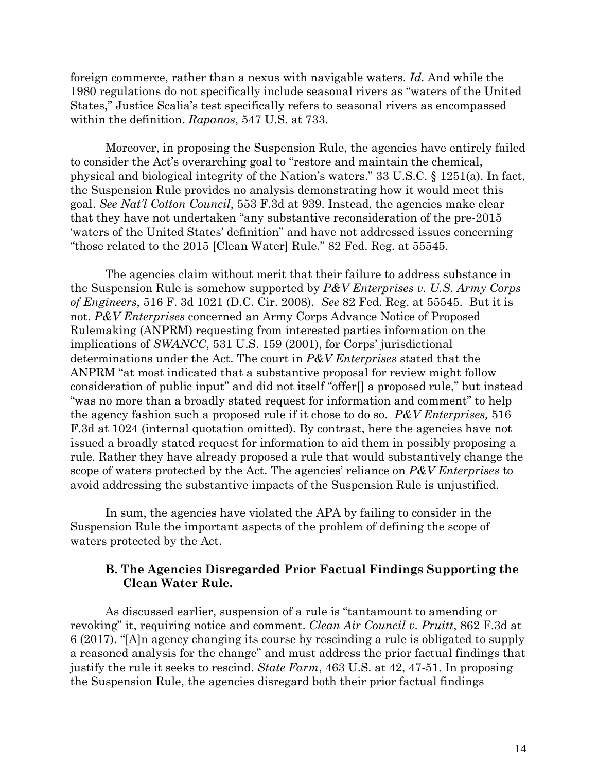foreign commerce, rather than a nexus with navigable waters. *Id.* And while the 1980 regulations do not specifically include seasonal rivers as "waters of the United States," Justice Scalia's test specifically refers to seasonal rivers as encompassed within the definition. *Rapanos*, 547 U.S. at 733.

Moreover, in proposing the Suspension Rule, the agencies have entirely failed to consider the Act's overarching goal to "restore and maintain the chemical, physical and biological integrity of the Nation's waters." 33 U.S.C. § 1251(a). In fact, the Suspension Rule provides no analysis demonstrating how it would meet this goal. *See Nat'l Cotton Council*, 553 F.3d at 939. Instead, the agencies make clear that they have not undertaken "any substantive reconsideration of the pre-2015 'waters of the United States' definition" and have not addressed issues concerning "those related to the 2015 [Clean Water] Rule." 82 Fed. Reg. at 55545.

The agencies claim without merit that their failure to address substance in the Suspension Rule is somehow supported by *P&V Enterprises v. U.S. Army Corps of Engineers*, 516 F. 3d 1021 (D.C. Cir. 2008). *See* 82 Fed. Reg. at 55545. But it is not. *P&V Enterprises* concerned an Army Corps Advance Notice of Proposed Rulemaking (ANPRM) requesting from interested parties information on the implications of *SWANCC*, 531 U.S. 159 (2001), for Corps' jurisdictional determinations under the Act. The court in *P&V Enterprises* stated that the ANPRM "at most indicated that a substantive proposal for review might follow consideration of public input" and did not itself "offer[] a proposed rule," but instead "was no more than a broadly stated request for information and comment" to help the agency fashion such a proposed rule if it chose to do so. *P&V Enterprises,* 516 F.3d at 1024 (internal quotation omitted). By contrast, here the agencies have not issued a broadly stated request for information to aid them in possibly proposing a rule. Rather they have already proposed a rule that would substantively change the scope of waters protected by the Act. The agencies' reliance on *P&V Enterprises* to avoid addressing the substantive impacts of the Suspension Rule is unjustified.

In sum, the agencies have violated the APA by failing to consider in the Suspension Rule the important aspects of the problem of defining the scope of waters protected by the Act.

### **B. The Agencies Disregarded Prior Factual Findings Supporting the Clean Water Rule.**

As discussed earlier, suspension of a rule is "tantamount to amending or revoking" it, requiring notice and comment. *Clean Air Council v. Pruitt*, 862 F.3d at 6 (2017). "[A]n agency changing its course by rescinding a rule is obligated to supply a reasoned analysis for the change" and must address the prior factual findings that justify the rule it seeks to rescind. *State Farm*, 463 U.S. at 42, 47-51. In proposing the Suspension Rule, the agencies disregard both their prior factual findings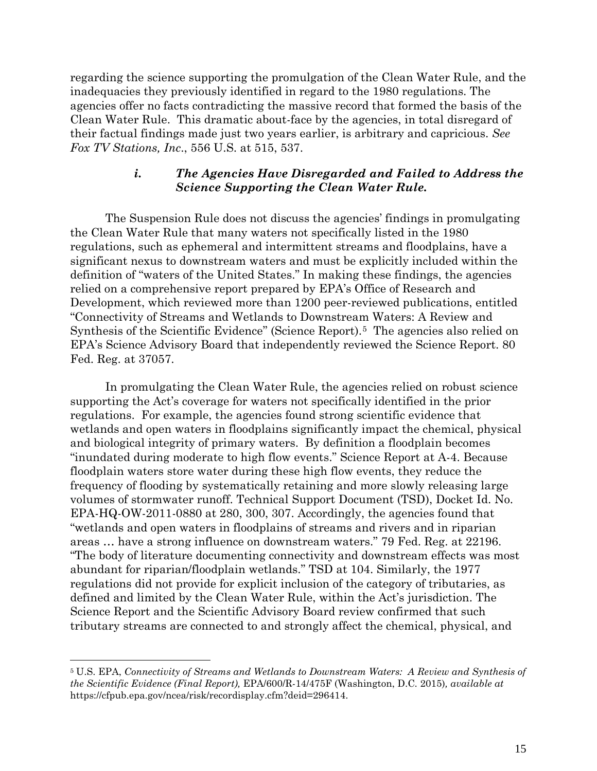regarding the science supporting the promulgation of the Clean Water Rule, and the inadequacies they previously identified in regard to the 1980 regulations. The agencies offer no facts contradicting the massive record that formed the basis of the Clean Water Rule. This dramatic about-face by the agencies, in total disregard of their factual findings made just two years earlier, is arbitrary and capricious. *See Fox TV Stations, Inc*., 556 U.S. at 515, 537.

# *i. The Agencies Have Disregarded and Failed to Address the Science Supporting the Clean Water Rule.*

The Suspension Rule does not discuss the agencies' findings in promulgating the Clean Water Rule that many waters not specifically listed in the 1980 regulations, such as ephemeral and intermittent streams and floodplains, have a significant nexus to downstream waters and must be explicitly included within the definition of "waters of the United States." In making these findings, the agencies relied on a comprehensive report prepared by EPA's Office of Research and Development, which reviewed more than 1200 peer-reviewed publications, entitled "Connectivity of Streams and Wetlands to Downstream Waters: A Review and Synthesis of the Scientific Evidence'' (Science Report).[5](#page-14-0) The agencies also relied on EPA's Science Advisory Board that independently reviewed the Science Report. 80 Fed. Reg. at 37057.

In promulgating the Clean Water Rule, the agencies relied on robust science supporting the Act's coverage for waters not specifically identified in the prior regulations. For example, the agencies found strong scientific evidence that wetlands and open waters in floodplains significantly impact the chemical, physical and biological integrity of primary waters. By definition a floodplain becomes "inundated during moderate to high flow events." Science Report at A-4. Because floodplain waters store water during these high flow events, they reduce the frequency of flooding by systematically retaining and more slowly releasing large volumes of stormwater runoff. Technical Support Document (TSD), Docket Id. No. EPA-HQ-OW-2011-0880 at 280, 300, 307. Accordingly, the agencies found that "wetlands and open waters in floodplains of streams and rivers and in riparian areas … have a strong influence on downstream waters." 79 Fed. Reg. at 22196. "The body of literature documenting connectivity and downstream effects was most abundant for riparian/floodplain wetlands." TSD at 104. Similarly, the 1977 regulations did not provide for explicit inclusion of the category of tributaries, as defined and limited by the Clean Water Rule, within the Act's jurisdiction. The Science Report and the Scientific Advisory Board review confirmed that such tributary streams are connected to and strongly affect the chemical, physical, and

 $\overline{a}$ 

<span id="page-14-0"></span><sup>5</sup> U.S. EPA, *Connectivity of Streams and Wetlands to Downstream Waters: A Review and Synthesis of the Scientific Evidence (Final Report),* EPA/600/R-14/475F (Washington, D.C*.* 2015)*, available at* [https://cfpub.epa.gov/ncea/risk/recordisplay.cfm?deid=296414.](https://cfpub.epa.gov/ncea/risk/recordisplay.cfm?deid=296414)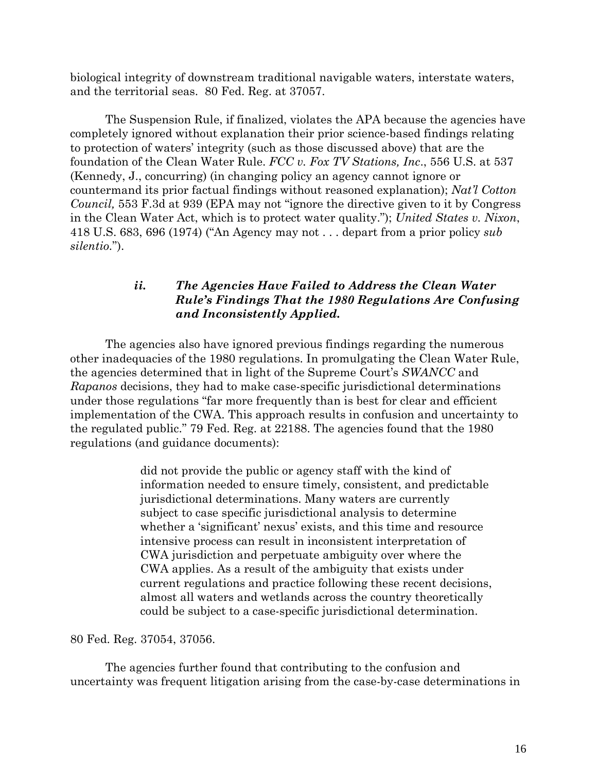biological integrity of downstream traditional navigable waters, interstate waters, and the territorial seas. 80 Fed. Reg. at 37057.

The Suspension Rule, if finalized, violates the APA because the agencies have completely ignored without explanation their prior science-based findings relating to protection of waters' integrity (such as those discussed above) that are the foundation of the Clean Water Rule. *FCC v. Fox TV Stations, Inc*., 556 U.S. at 537 (Kennedy, J., concurring) (in changing policy an agency cannot ignore or countermand its prior factual findings without reasoned explanation); *Nat'l Cotton Council,* 553 F.3d at 939 (EPA may not "ignore the directive given to it by Congress in the Clean Water Act, which is to protect water quality."); *United States v. Nixon*, 418 U.S. 683, 696 (1974) ("An Agency may not . . . depart from a prior policy *sub silentio.*").

# *ii. The Agencies Have Failed to Address the Clean Water Rule's Findings That the 1980 Regulations Are Confusing and Inconsistently Applied.*

The agencies also have ignored previous findings regarding the numerous other inadequacies of the 1980 regulations. In promulgating the Clean Water Rule, the agencies determined that in light of the Supreme Court's *SWANCC* and *Rapanos* decisions, they had to make case-specific jurisdictional determinations under those regulations "far more frequently than is best for clear and efficient implementation of the CWA. This approach results in confusion and uncertainty to the regulated public." 79 Fed. Reg. at 22188. The agencies found that the 1980 regulations (and guidance documents):

> did not provide the public or agency staff with the kind of information needed to ensure timely, consistent, and predictable jurisdictional determinations. Many waters are currently subject to case specific jurisdictional analysis to determine whether a 'significant' nexus' exists, and this time and resource intensive process can result in inconsistent interpretation of CWA jurisdiction and perpetuate ambiguity over where the CWA applies. As a result of the ambiguity that exists under current regulations and practice following these recent decisions, almost all waters and wetlands across the country theoretically could be subject to a case-specific jurisdictional determination.

80 Fed. Reg. 37054, 37056.

The agencies further found that contributing to the confusion and uncertainty was frequent litigation arising from the case-by-case determinations in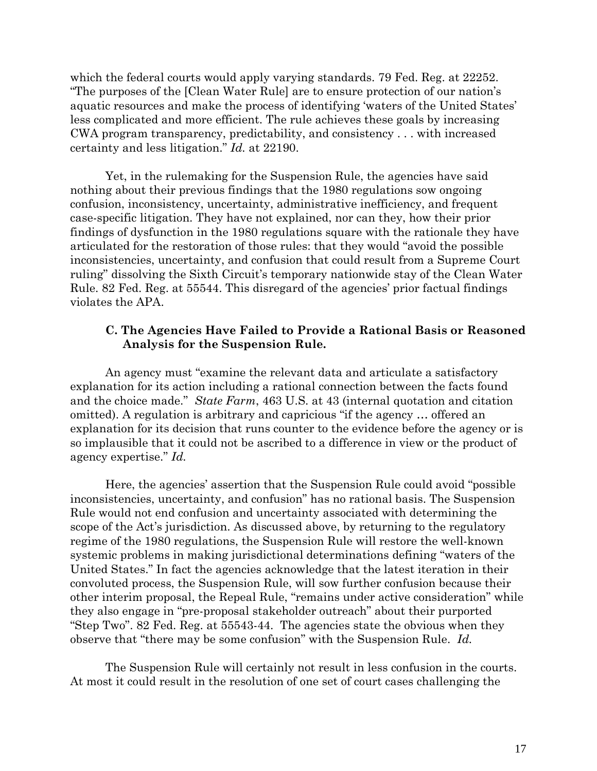which the federal courts would apply varying standards. 79 Fed. Reg. at 22252. "The purposes of the [Clean Water Rule] are to ensure protection of our nation's aquatic resources and make the process of identifying 'waters of the United States' less complicated and more efficient. The rule achieves these goals by increasing CWA program transparency, predictability, and consistency . . . with increased certainty and less litigation." *Id.* at 22190.

Yet, in the rulemaking for the Suspension Rule, the agencies have said nothing about their previous findings that the 1980 regulations sow ongoing confusion, inconsistency, uncertainty, administrative inefficiency, and frequent case-specific litigation. They have not explained, nor can they, how their prior findings of dysfunction in the 1980 regulations square with the rationale they have articulated for the restoration of those rules: that they would "avoid the possible inconsistencies, uncertainty, and confusion that could result from a Supreme Court ruling" dissolving the Sixth Circuit's temporary nationwide stay of the Clean Water Rule. 82 Fed. Reg. at 55544. This disregard of the agencies' prior factual findings violates the APA.

## **C. The Agencies Have Failed to Provide a Rational Basis or Reasoned Analysis for the Suspension Rule.**

An agency must "examine the relevant data and articulate a satisfactory explanation for its action including a rational connection between the facts found and the choice made." *State Farm*, 463 U.S. at 43 (internal quotation and citation omitted). A regulation is arbitrary and capricious "if the agency … offered an explanation for its decision that runs counter to the evidence before the agency or is so implausible that it could not be ascribed to a difference in view or the product of agency expertise." *Id.*

Here, the agencies' assertion that the Suspension Rule could avoid "possible inconsistencies, uncertainty, and confusion" has no rational basis. The Suspension Rule would not end confusion and uncertainty associated with determining the scope of the Act's jurisdiction. As discussed above, by returning to the regulatory regime of the 1980 regulations, the Suspension Rule will restore the well-known systemic problems in making jurisdictional determinations defining "waters of the United States." In fact the agencies acknowledge that the latest iteration in their convoluted process, the Suspension Rule, will sow further confusion because their other interim proposal, the Repeal Rule, "remains under active consideration" while they also engage in "pre-proposal stakeholder outreach" about their purported "Step Two". 82 Fed. Reg. at 55543-44. The agencies state the obvious when they observe that "there may be some confusion" with the Suspension Rule. *Id.*

The Suspension Rule will certainly not result in less confusion in the courts. At most it could result in the resolution of one set of court cases challenging the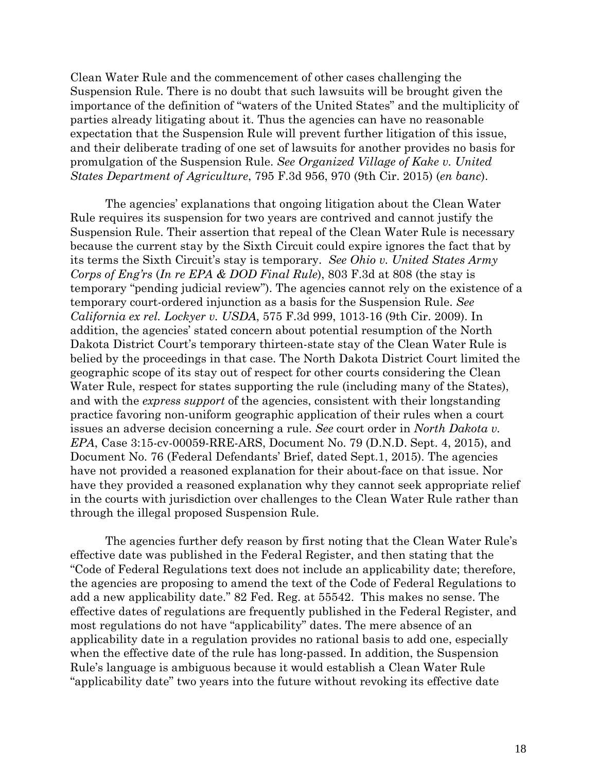Clean Water Rule and the commencement of other cases challenging the Suspension Rule. There is no doubt that such lawsuits will be brought given the importance of the definition of "waters of the United States" and the multiplicity of parties already litigating about it. Thus the agencies can have no reasonable expectation that the Suspension Rule will prevent further litigation of this issue, and their deliberate trading of one set of lawsuits for another provides no basis for promulgation of the Suspension Rule. *See Organized Village of Kake v. United States Department of Agriculture*, 795 F.3d 956, 970 (9th Cir. 2015) (*en banc*).

The agencies' explanations that ongoing litigation about the Clean Water Rule requires its suspension for two years are contrived and cannot justify the Suspension Rule. Their assertion that repeal of the Clean Water Rule is necessary because the current stay by the Sixth Circuit could expire ignores the fact that by its terms the Sixth Circuit's stay is temporary. *See Ohio v. United States Army Corps of Eng'rs* (*In re EPA & DOD Final Rule*), 803 F.3d at 808 (the stay is temporary "pending judicial review"). The agencies cannot rely on the existence of a temporary court-ordered injunction as a basis for the Suspension Rule. *See California ex rel. Lockyer v. USDA*, 575 F.3d 999, 1013-16 (9th Cir. 2009). In addition, the agencies' stated concern about potential resumption of the North Dakota District Court's temporary thirteen-state stay of the Clean Water Rule is belied by the proceedings in that case. The North Dakota District Court limited the geographic scope of its stay out of respect for other courts considering the Clean Water Rule, respect for states supporting the rule (including many of the States), and with the *express support* of the agencies, consistent with their longstanding practice favoring non-uniform geographic application of their rules when a court issues an adverse decision concerning a rule. *See* court order in *North Dakota v. EPA*, Case 3:15-cv-00059-RRE-ARS, Document No. 79 (D.N.D. Sept. 4, 2015), and Document No. 76 (Federal Defendants' Brief, dated Sept.1, 2015). The agencies have not provided a reasoned explanation for their about-face on that issue. Nor have they provided a reasoned explanation why they cannot seek appropriate relief in the courts with jurisdiction over challenges to the Clean Water Rule rather than through the illegal proposed Suspension Rule.

The agencies further defy reason by first noting that the Clean Water Rule's effective date was published in the Federal Register, and then stating that the "Code of Federal Regulations text does not include an applicability date; therefore, the agencies are proposing to amend the text of the Code of Federal Regulations to add a new applicability date." 82 Fed. Reg. at 55542. This makes no sense. The effective dates of regulations are frequently published in the Federal Register, and most regulations do not have "applicability" dates. The mere absence of an applicability date in a regulation provides no rational basis to add one, especially when the effective date of the rule has long-passed. In addition, the Suspension Rule's language is ambiguous because it would establish a Clean Water Rule "applicability date" two years into the future without revoking its effective date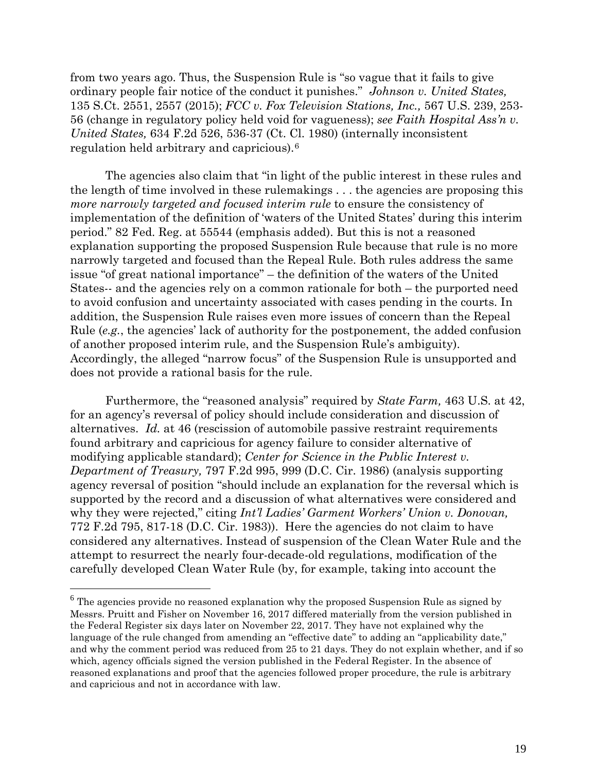from two years ago. Thus, the Suspension Rule is "so vague that it fails to give ordinary people fair notice of the conduct it punishes." *Johnson v. United States,* 135 S.Ct. 2551, 2557 (2015); *FCC v. Fox Television Stations, Inc.,* 567 U.S. 239, 253- 56 (change in regulatory policy held void for vagueness); *see Faith Hospital Ass'n v. United States,* 634 F.2d 526, 536-37 (Ct. Cl. 1980) (internally inconsistent regulation held arbitrary and capricious).[6](#page-18-0)

The agencies also claim that "in light of the public interest in these rules and the length of time involved in these rulemakings . . . the agencies are proposing this *more narrowly targeted and focused interim rule* to ensure the consistency of implementation of the definition of 'waters of the United States' during this interim period." 82 Fed. Reg. at 55544 (emphasis added). But this is not a reasoned explanation supporting the proposed Suspension Rule because that rule is no more narrowly targeted and focused than the Repeal Rule. Both rules address the same issue "of great national importance" – the definition of the waters of the United States-- and the agencies rely on a common rationale for both – the purported need to avoid confusion and uncertainty associated with cases pending in the courts. In addition, the Suspension Rule raises even more issues of concern than the Repeal Rule (*e.g.*, the agencies' lack of authority for the postponement, the added confusion of another proposed interim rule, and the Suspension Rule's ambiguity). Accordingly, the alleged "narrow focus" of the Suspension Rule is unsupported and does not provide a rational basis for the rule.

Furthermore, the "reasoned analysis" required by *State Farm,* 463 U.S. at 42, for an agency's reversal of policy should include consideration and discussion of alternatives. *Id.* at 46 (rescission of automobile passive restraint requirements found arbitrary and capricious for agency failure to consider alternative of modifying applicable standard); *Center for Science in the Public Interest v. Department of Treasury,* 797 F.2d 995, 999 (D.C. Cir. 1986) (analysis supporting agency reversal of position "should include an explanation for the reversal which is supported by the record and a discussion of what alternatives were considered and why they were rejected," citing *Int'l Ladies' Garment Workers' Union v. Donovan,* 772 F.2d 795, 817-18 (D.C. Cir. 1983)). Here the agencies do not claim to have considered any alternatives. Instead of suspension of the Clean Water Rule and the attempt to resurrect the nearly four-decade-old regulations, modification of the carefully developed Clean Water Rule (by, for example, taking into account the

<span id="page-18-0"></span><sup>&</sup>lt;sup>6</sup> The agencies provide no reasoned explanation why the proposed Suspension Rule as signed by Messrs. Pruitt and Fisher on November 16, 2017 differed materially from the version published in the Federal Register six days later on November 22, 2017. They have not explained why the language of the rule changed from amending an "effective date" to adding an "applicability date," and why the comment period was reduced from 25 to 21 days. They do not explain whether, and if so which, agency officials signed the version published in the Federal Register. In the absence of reasoned explanations and proof that the agencies followed proper procedure, the rule is arbitrary and capricious and not in accordance with law.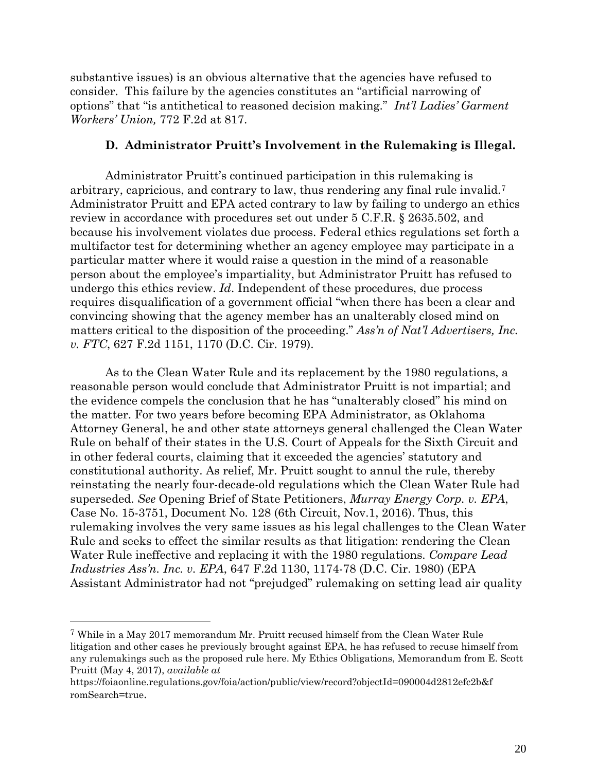substantive issues) is an obvious alternative that the agencies have refused to consider. This failure by the agencies constitutes an "artificial narrowing of options" that "is antithetical to reasoned decision making." *Int'l Ladies' Garment Workers' Union,* 772 F.2d at 817.

### **D. Administrator Pruitt's Involvement in the Rulemaking is Illegal.**

Administrator Pruitt's continued participation in this rulemaking is arbitrary, capricious, and contrary to law, thus rendering any final rule invalid.[7](#page-19-0)  Administrator Pruitt and EPA acted contrary to law by failing to undergo an ethics review in accordance with procedures set out under 5 C.F.R. § 2635.502, and because his involvement violates due process. Federal ethics regulations set forth a multifactor test for determining whether an agency employee may participate in a particular matter where it would raise a question in the mind of a reasonable person about the employee's impartiality, but Administrator Pruitt has refused to undergo this ethics review. *Id*. Independent of these procedures, due process requires disqualification of a government official "when there has been a clear and convincing showing that the agency member has an unalterably closed mind on matters critical to the disposition of the proceeding." *Ass'n of Nat'l Advertisers, Inc. v. FTC*, 627 F.2d 1151, 1170 (D.C. Cir. 1979).

As to the Clean Water Rule and its replacement by the 1980 regulations, a reasonable person would conclude that Administrator Pruitt is not impartial; and the evidence compels the conclusion that he has "unalterably closed" his mind on the matter. For two years before becoming EPA Administrator, as Oklahoma Attorney General, he and other state attorneys general challenged the Clean Water Rule on behalf of their states in the U.S. Court of Appeals for the Sixth Circuit and in other federal courts, claiming that it exceeded the agencies' statutory and constitutional authority. As relief, Mr. Pruitt sought to annul the rule, thereby reinstating the nearly four-decade-old regulations which the Clean Water Rule had superseded. *See* Opening Brief of State Petitioners, *Murray Energy Corp. v. EPA*, Case No. 15-3751, Document No. 128 (6th Circuit, Nov.1, 2016). Thus, this rulemaking involves the very same issues as his legal challenges to the Clean Water Rule and seeks to effect the similar results as that litigation: rendering the Clean Water Rule ineffective and replacing it with the 1980 regulations. *Compare Lead Industries Ass'n. Inc. v. EPA*, 647 F.2d 1130, 1174-78 (D.C. Cir. 1980) (EPA Assistant Administrator had not "prejudged" rulemaking on setting lead air quality

 $\overline{a}$ 

<span id="page-19-0"></span><sup>7</sup> While in a May 2017 memorandum Mr. Pruitt recused himself from the Clean Water Rule litigation and other cases he previously brought against EPA, he has refused to recuse himself from any rulemakings such as the proposed rule here. My Ethics Obligations, Memorandum from E. Scott Pruitt (May 4, 2017), *available at*

[https://foiaonline.regulations.gov/foia/action/public/view/record?objectId=090004d2812efc2b&f](https://foiaonline.regulations.gov/foia/action/public/view/record?objectId=090004d2812efc2b&fromSearch=true) [romSearch=true](https://foiaonline.regulations.gov/foia/action/public/view/record?objectId=090004d2812efc2b&fromSearch=true).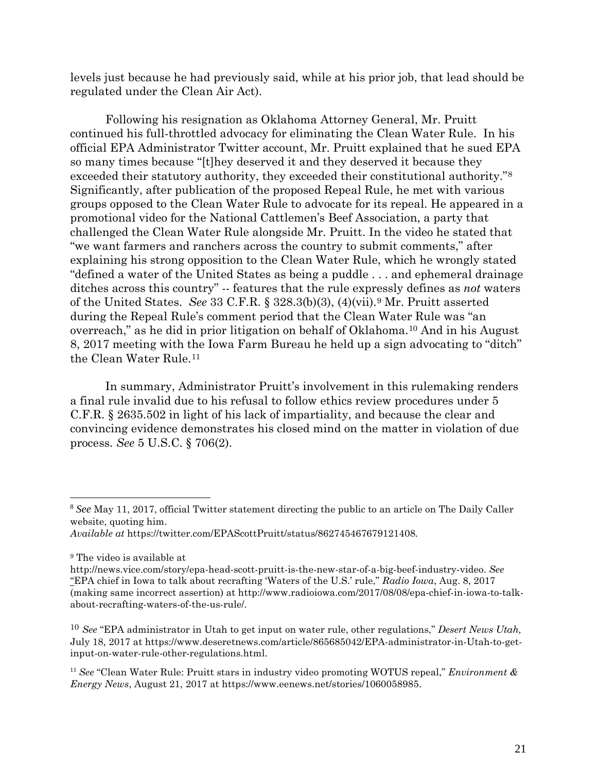levels just because he had previously said, while at his prior job, that lead should be regulated under the Clean Air Act).

Following his resignation as Oklahoma Attorney General, Mr. Pruitt continued his full-throttled advocacy for eliminating the Clean Water Rule. In his official EPA Administrator Twitter account, Mr. Pruitt explained that he sued EPA so many times because "[t]hey deserved it and they deserved it because they exceeded their statutory authority, they exceeded their constitutional authority."[8](#page-20-0) Significantly, after publication of the proposed Repeal Rule, he met with various groups opposed to the Clean Water Rule to advocate for its repeal. He appeared in a promotional video for the National Cattlemen's Beef Association, a party that challenged the Clean Water Rule alongside Mr. Pruitt. In the video he stated that "we want farmers and ranchers across the country to submit comments," after explaining his strong opposition to the Clean Water Rule, which he wrongly stated "defined a water of the United States as being a puddle . . . and ephemeral drainage ditches across this country" -- features that the rule expressly defines as *not* waters of the United States. *See* 33 C.F.R. § 328.3(b)(3), (4)(vii).[9](#page-20-1) Mr. Pruitt asserted during the Repeal Rule's comment period that the Clean Water Rule was "an overreach," as he did in prior litigation on behalf of Oklahoma[.10](#page-20-2) And in his August 8, 2017 meeting with the Iowa Farm Bureau he held up a sign advocating to "ditch" the Clean Water Rule.<sup>[11](#page-20-3)</sup>

In summary, Administrator Pruitt's involvement in this rulemaking renders a final rule invalid due to his refusal to follow ethics review procedures under 5 C.F.R. § 2635.502 in light of his lack of impartiality, and because the clear and convincing evidence demonstrates his closed mind on the matter in violation of due process. *See* 5 U.S.C. § 706(2).

<span id="page-20-0"></span> <sup>8</sup> *See* May 11, 2017, official Twitter statement directing the public to an article on The Daily Caller website, quoting him.

*Available at* [https://twitter.com/EPAScottPruitt/status/862745467679121408.](https://twitter.com/EPAScottPruitt/status/862745467679121408)

<span id="page-20-1"></span><sup>9</sup> The video is available at

http://news.vice.com/story/epa-head-scott-pruitt-is-the-new-star-of-a-big-beef-industry-video. *See* "EPA chief in Iowa to talk about recrafting 'Waters of the U.S.' rule," *Radio Iowa*, Aug. 8, 2017 (making same incorrect assertion) at http://www.radioiowa.com/2017/08/08/epa-chief-in-iowa-to-talkabout-recrafting-waters-of-the-us-rule/.

<span id="page-20-2"></span><sup>10</sup> *See* "EPA administrator in Utah to get input on water rule, other regulations," *Desert News Utah,* July 18, 2017 at https://www.deseretnews.com/article/865685042/EPA-administrator-in-Utah-to-getinput-on-water-rule-other-regulations.html.

<span id="page-20-3"></span><sup>11</sup> *See* "Clean Water Rule: Pruitt stars in industry video promoting WOTUS repeal," *Environment & Energy News*, August 21, 2017 at https://www.eenews.net/stories/1060058985.